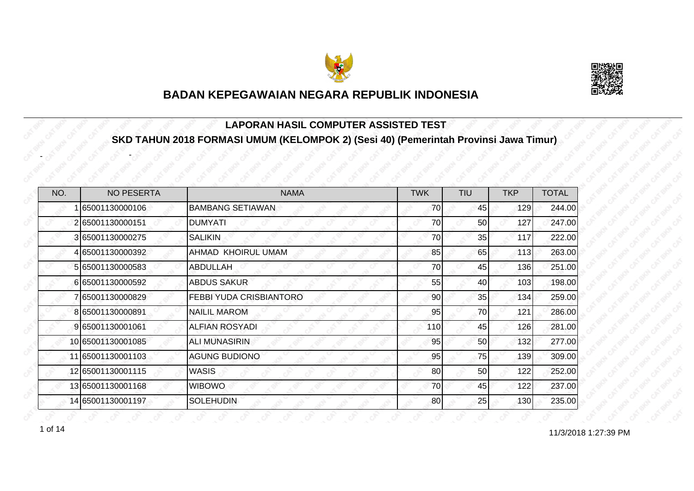



#### **LAPORAN HASIL COMPUTER ASSISTED TEST SKD TAHUN 2018 FORMASI UMUM (KELOMPOK 2) (Sesi 40) (Pemerintah Provinsi Jawa Timur)**

| NO. | <b>NO PESERTA</b> | <b>NAMA</b>             | <b>TWK</b> | <b>TIU</b> | <b>TKP</b> | <b>TOTAL</b> |
|-----|-------------------|-------------------------|------------|------------|------------|--------------|
|     | 65001130000106    | <b>BAMBANG SETIAWAN</b> | 70         | 45         | 129        | 244.00       |
|     | 265001130000151   | <b>DUMYATI</b>          | 70         | 50         | 127        | 247.00       |
|     | 3 65001130000275  | <b>SALIKIN</b>          | 70         | 35         | 117        | 222.00       |
|     | 4 65001130000392  | AHMAD KHOIRUL UMAM      | 85         | 65         | 113        | 263.00       |
|     | 5 65001130000583  | ABDULLAH                | 70         | 45         | 136        | 251.00       |
|     | 665001130000592   | <b>ABDUS SAKUR</b>      | 55         | 40         | 103        | 198.00       |
|     | 7 65001130000829  | FEBBI YUDA CRISBIANTORO | 90         | 35         | 134        | 259.00       |
|     | 865001130000891   | <b>NAILIL MAROM</b>     | 95         | 70         | 121        | 286.00       |
|     | 9 65001130001061  | <b>ALFIAN ROSYADI</b>   | 110        | 45         | 126        | 281.00       |
|     | 10 65001130001085 | ALI MUNASIRIN           | 95         | 50         | 132        | 277.00       |
|     | 11 65001130001103 | <b>AGUNG BUDIONO</b>    | 95         | 75         | 139        | 309.00       |
|     | 12 65001130001115 | <b>WASIS</b>            | 80         | 50         | 122        | 252.00       |
|     | 13 65001130001168 | <b>WIBOWO</b>           | 70         | 45         | 122        | 237.00       |
|     | 14 65001130001197 | <b>SOLEHUDIN</b>        | 80         | 25         | 130        | 235.00       |

-

-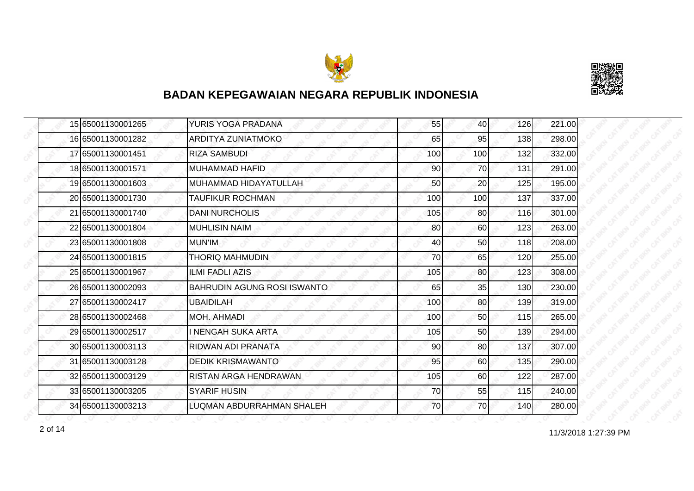



|  | 15 65001130001265 | YURIS YOGA PRADANA                 | 55  | 40              | 126 | 221.00 |
|--|-------------------|------------------------------------|-----|-----------------|-----|--------|
|  | 16 65001130001282 | <b>ARDITYA ZUNIATMOKO</b>          | 65  | 95              | 138 | 298.00 |
|  | 17 65001130001451 | <b>RIZA SAMBUDI</b>                | 100 | 100             | 132 | 332.00 |
|  | 18 65001130001571 | MUHAMMAD HAFID                     | 90  | 70              | 131 | 291.00 |
|  | 19 65001130001603 | MUHAMMAD HIDAYATULLAH              | 50  | 20              | 125 | 195.00 |
|  | 20 65001130001730 | <b>TAUFIKUR ROCHMAN</b>            | 100 | 100             | 137 | 337.00 |
|  | 21 65001130001740 | <b>DANI NURCHOLIS</b>              | 105 | 80 <sup>1</sup> | 116 | 301.00 |
|  | 22 65001130001804 | <b>MUHLISIN NAIM</b>               | 80  | 60              | 123 | 263.00 |
|  | 23 65001130001808 | MUN'IM                             | 40  | 50              | 118 | 208.00 |
|  | 24 65001130001815 | <b>THORIQ MAHMUDIN</b>             | 70  | 65              | 120 | 255.00 |
|  | 25 65001130001967 | <b>ILMI FADLI AZIS</b>             | 105 | 80              | 123 | 308.00 |
|  | 26 65001130002093 | <b>BAHRUDIN AGUNG ROSI ISWANTO</b> | 65  | 35              | 130 | 230.00 |
|  | 27 65001130002417 | <b>UBAIDILAH</b>                   | 100 | 80 <sub>0</sub> | 139 | 319.00 |
|  | 28 65001130002468 | <b>MOH. AHMADI</b>                 | 100 | 50              | 115 | 265.00 |
|  | 29 65001130002517 | I NENGAH SUKA ARTA                 | 105 | 50              | 139 | 294.00 |
|  | 30 65001130003113 | RIDWAN ADI PRANATA                 | 90  | 80              | 137 | 307.00 |
|  | 31 65001130003128 | <b>DEDIK KRISMAWANTO</b>           | 95  | 60              | 135 | 290.00 |
|  | 32 65001130003129 | RISTAN ARGA HENDRAWAN              | 105 | 60              | 122 | 287.00 |
|  | 33165001130003205 | <b>SYARIF HUSIN</b>                | 70  | 55              | 115 | 240.00 |
|  | 34 65001130003213 | LUQMAN ABDURRAHMAN SHALEH          | 70  | 70              | 140 | 280.00 |

11/3/2018 1:27:39 PM 2 of 14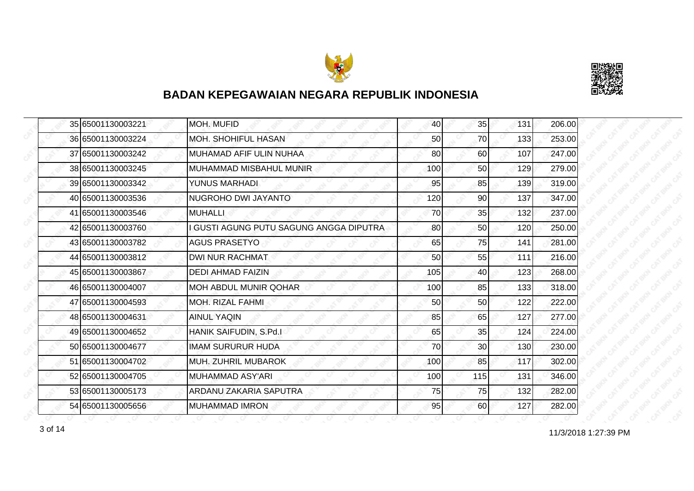



|  | 35 65001130003221 | <b>MOH. MUFID</b>                       | 40  | 35              | 131 | 206.00 |
|--|-------------------|-----------------------------------------|-----|-----------------|-----|--------|
|  | 36 65001130003224 | <b>MOH. SHOHIFUL HASAN</b>              | 50  | 70              | 133 | 253.00 |
|  | 37 65001130003242 | MUHAMAD AFIF ULIN NUHAA                 | 80  | 60              | 107 | 247.00 |
|  | 38 65001130003245 | MUHAMMAD MISBAHUL MUNIR                 | 100 | 50              | 129 | 279.00 |
|  | 39 65001130003342 | YUNUS MARHADI                           | 95  | 85              | 139 | 319.00 |
|  | 40 65001130003536 | NUGROHO DWI JAYANTO                     | 120 | 90              | 137 | 347.00 |
|  | 41 65001130003546 | <b>MUHALLI</b>                          | 70  | 35              | 132 | 237.00 |
|  | 42 65001130003760 | I GUSTI AGUNG PUTU SAGUNG ANGGA DIPUTRA | 80  | 50              | 120 | 250.00 |
|  | 43 65001130003782 | <b>AGUS PRASETYO</b>                    | 65  | 75              | 141 | 281.00 |
|  | 44 65001130003812 | <b>DWI NUR RACHMAT</b>                  | 50  | 55              | 111 | 216.00 |
|  | 45 65001130003867 | <b>DEDI AHMAD FAIZIN</b>                | 105 | 40              | 123 | 268.00 |
|  | 46 65001130004007 | <b>MOH ABDUL MUNIR QOHAR</b>            | 100 | 85              | 133 | 318.00 |
|  | 47 65001130004593 | <b>MOH. RIZAL FAHMI</b>                 | 50  | 50              | 122 | 222.00 |
|  | 48 65001130004631 | <b>AINUL YAQIN</b>                      | 85  | 65              | 127 | 277.00 |
|  | 49 65001130004652 | HANIK SAIFUDIN, S.Pd.I                  | 65  | 35              | 124 | 224.00 |
|  | 50 65001130004677 | <b>IMAM SURURUR HUDA</b>                | 70  | 30 <sup>°</sup> | 130 | 230.00 |
|  | 51 65001130004702 | <b>MUH. ZUHRIL MUBAROK</b>              | 100 | 85              | 117 | 302.00 |
|  | 52 65001130004705 | MUHAMMAD ASY'ARI                        | 100 | 115             | 131 | 346.00 |
|  | 53 65001130005173 | ARDANU ZAKARIA SAPUTRA                  | 75  | 75              | 132 | 282.00 |
|  | 54 65001130005656 | <b>MUHAMMAD IMRON</b>                   | 95  | 60              | 127 | 282.00 |

11/3/2018 1:27:39 PM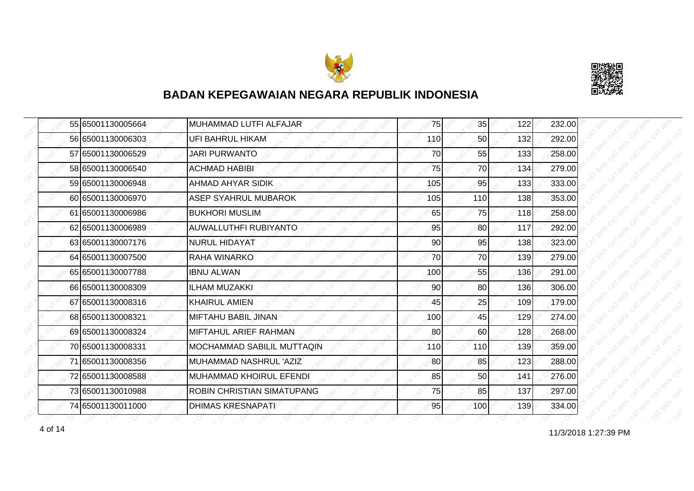



|  | 55 65001130005664 | MUHAMMAD LUTFI ALFAJAR            | 75  | 35  | 122 | 232.00 |
|--|-------------------|-----------------------------------|-----|-----|-----|--------|
|  | 56 65001130006303 | UFI BAHRUL HIKAM                  | 110 | 50  | 132 | 292.00 |
|  | 57 65001130006529 | <b>JARI PURWANTO</b>              | 70  | 55  | 133 | 258.00 |
|  | 58 65001130006540 | <b>ACHMAD HABIBI</b>              | 75  | 70  | 134 | 279.00 |
|  | 59 65001130006948 | <b>AHMAD AHYAR SIDIK</b>          | 105 | 95  | 133 | 333.00 |
|  | 60 65001130006970 | ASEP SYAHRUL MUBAROK              | 105 | 110 | 138 | 353.00 |
|  | 61 65001130006986 | <b>BUKHORI MUSLIM</b>             | 65  | 75I | 118 | 258.00 |
|  | 62 65001130006989 | <b>AUWALLUTHFI RUBIYANTO</b>      | 95  | 80  | 117 | 292.00 |
|  | 63 65001130007176 | <b>NURUL HIDAYAT</b>              | 90  | 95  | 138 | 323.00 |
|  | 64 65001130007500 | RAHA WINARKO                      | 70  | 70  | 139 | 279.00 |
|  | 65 65001130007788 | <b>IBNU ALWAN</b>                 | 100 | 55  | 136 | 291.00 |
|  | 66 65001130008309 | <b>ILHAM MUZAKKI</b>              | 90  | 80  | 136 | 306.00 |
|  | 67 65001130008316 | <b>KHAIRUL AMIEN</b>              | 45  | 25  | 109 | 179.00 |
|  | 68 65001130008321 | IMIFTAHU BABIL JINAN              | 100 | 45  | 129 | 274.00 |
|  | 69 65001130008324 | MIFTAHUL ARIEF RAHMAN             | 80  | 60  | 128 | 268.00 |
|  | 70 65001130008331 | <b>MOCHAMMAD SABILIL MUTTAQIN</b> | 110 | 110 | 139 | 359.00 |
|  | 71 65001130008356 | MUHAMMAD NASHRUL 'AZIZ            | 80  | 85  | 123 | 288.00 |
|  | 72 65001130008588 | IMUHAMMAD KHOIRUL EFENDI          | 85  | 50  | 141 | 276.00 |
|  | 73 65001130010988 | ROBIN CHRISTIAN SIMATUPANG        | 75  | 85  | 137 | 297.00 |
|  | 74 65001130011000 | <b>DHIMAS KRESNAPATI</b>          | 95  | 100 | 139 | 334.00 |

11/3/2018 1:27:39 PM 4 of 14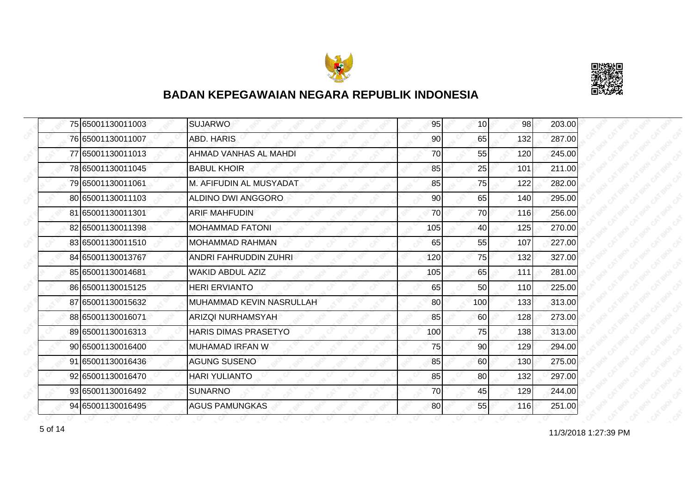



|  | 75 65001130011003 | <b>SUJARWO</b>           | 95  | 10 <sup>1</sup> | 98  | 203.00 |
|--|-------------------|--------------------------|-----|-----------------|-----|--------|
|  | 76 65001130011007 | ABD. HARIS               | 90  | 65              | 132 | 287.00 |
|  | 77 65001130011013 | AHMAD VANHAS AL MAHDI    | 70  | 55              | 120 | 245.00 |
|  | 78 65001130011045 | <b>BABUL KHOIR</b>       | 85  | 25              | 101 | 211.00 |
|  | 79 65001130011061 | M. AFIFUDIN AL MUSYADAT  | 85  | 75              | 122 | 282.00 |
|  | 80 65001130011103 | ALDINO DWI ANGGORO       | 90  | 65              | 140 | 295.00 |
|  | 81 65001130011301 | <b>ARIF MAHFUDIN</b>     | 70  | 70              | 116 | 256.00 |
|  | 82 65001130011398 | <b>MOHAMMAD FATONI</b>   | 105 | 40              | 125 | 270.00 |
|  | 83 65001130011510 | <b>MOHAMMAD RAHMAN</b>   | 65  | 55              | 107 | 227.00 |
|  | 84 65001130013767 | ANDRI FAHRUDDIN ZUHRI    | 120 | 75              | 132 | 327.00 |
|  | 85 65001130014681 | WAKID ABDUL AZIZ         | 105 | 65              | 111 | 281.00 |
|  | 86 65001130015125 | <b>HERI ERVIANTO</b>     | 65  | 50              | 110 | 225.00 |
|  | 87 65001130015632 | MUHAMMAD KEVIN NASRULLAH | 80  | 100             | 133 | 313.00 |
|  | 88 65001130016071 | <b>ARIZQI NURHAMSYAH</b> | 85  | 60              | 128 | 273.00 |
|  | 89 65001130016313 | HARIS DIMAS PRASETYO     | 100 | 75              | 138 | 313.00 |
|  | 90 65001130016400 | MUHAMAD IRFAN W          | 75  | 90              | 129 | 294.00 |
|  | 91 65001130016436 | <b>AGUNG SUSENO</b>      | 85  | 60              | 130 | 275.00 |
|  | 92 65001130016470 | <b>HARI YULIANTO</b>     | 85  | 80              | 132 | 297.00 |
|  | 93 65001130016492 | <b>SUNARNO</b>           | 70  | 45              | 129 | 244.00 |
|  | 94 65001130016495 | <b>AGUS PAMUNGKAS</b>    | 80  | 55              | 116 | 251.00 |

11/3/2018 1:27:39 PM 5 of 14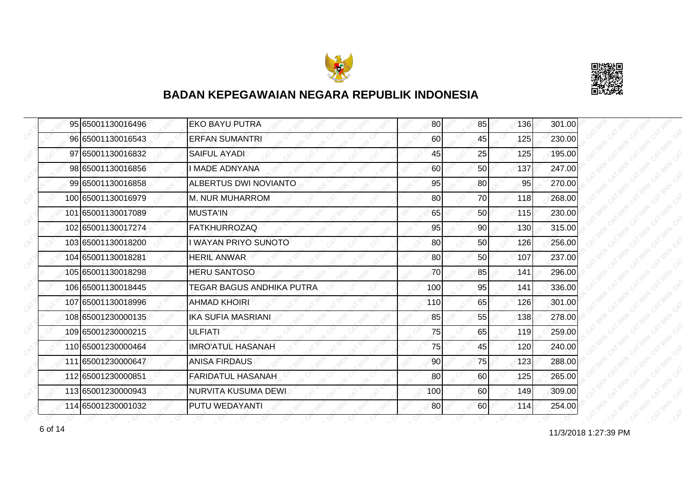



| 95 65001130016496  | <b>EKO BAYU PUTRA</b>            | 80  | 85              | 136 | 301.00 |
|--------------------|----------------------------------|-----|-----------------|-----|--------|
| 96 65001130016543  | <b>ERFAN SUMANTRI</b>            | 60  | 45              | 125 | 230.00 |
| 97 65001130016832  | <b>SAIFUL AYADI</b>              | 45  | 25              | 125 | 195.00 |
| 98 65001130016856  | <b>IMADE ADNYANA</b>             | 60  | 50 <sub>l</sub> | 137 | 247.00 |
| 99 65001130016858  | ALBERTUS DWI NOVIANTO            | 95  | 80              | 95  | 270.00 |
| 100 65001130016979 | M. NUR MUHARROM                  | 80  | 70              | 118 | 268.00 |
| 101 65001130017089 | <b>MUSTA'IN</b>                  | 65  | 50 <sub>l</sub> | 115 | 230.00 |
| 102 65001130017274 | <b>FATKHURROZAQ</b>              | 95  | 90              | 130 | 315.00 |
| 103 65001130018200 | <b>WAYAN PRIYO SUNOTO</b>        | 80  | 50              | 126 | 256.00 |
| 104 65001130018281 | <b>HERIL ANWAR</b>               | 80  | 50              | 107 | 237.00 |
| 105 65001130018298 | <b>HERU SANTOSO</b>              | 70  | 85              | 141 | 296.00 |
| 106 65001130018445 | <b>TEGAR BAGUS ANDHIKA PUTRA</b> | 100 | 95              | 141 | 336.00 |
| 107 65001130018996 | <b>AHMAD KHOIRI</b>              | 110 | 65              | 126 | 301.00 |
| 108 65001230000135 | <b>IKA SUFIA MASRIANI</b>        | 85  | 55              | 138 | 278.00 |
| 109 65001230000215 | <b>ULFIATI</b>                   | 75  | 65              | 119 | 259.00 |
| 110 65001230000464 | <b>IMRO'ATUL HASANAH</b>         | 75  | 45              | 120 | 240.00 |
| 111 65001230000647 | <b>ANISA FIRDAUS</b>             | 90  | 75              | 123 | 288.00 |
| 112 65001230000851 | <b>FARIDATUL HASANAH</b>         | 80  | 60              | 125 | 265.00 |
| 113 65001230000943 | NURVITA KUSUMA DEWI              | 100 | 60              | 149 | 309.00 |
| 114 65001230001032 | <b>PUTU WEDAYANTI</b>            | 80  | <b>60</b>       | 114 | 254.00 |

11/3/2018 1:27:39 PM 6 of 14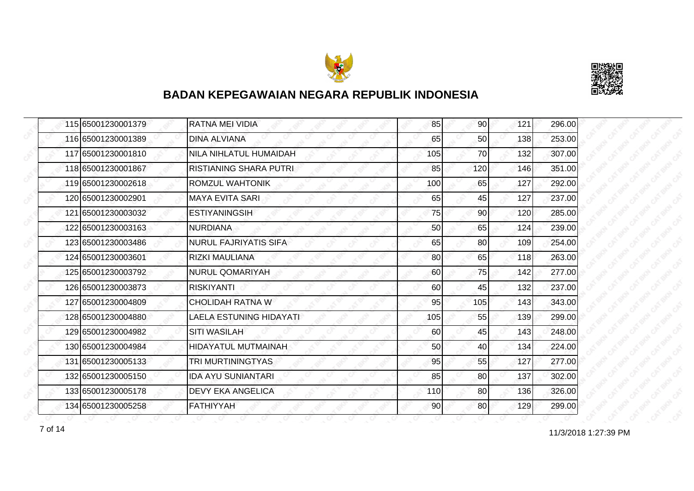



| 115 65001230001379 | <b>RATNA MEI VIDIA</b>        | 85  | 90 <sub>l</sub> | 121 | 296.00 |
|--------------------|-------------------------------|-----|-----------------|-----|--------|
| 116 65001230001389 | <b>DINA ALVIANA</b>           | 65  | 50              | 138 | 253.00 |
| 117 65001230001810 | NILA NIHLATUL HUMAIDAH        | 105 | 70              | 132 | 307.00 |
| 118 65001230001867 | <b>RISTIANING SHARA PUTRI</b> | 85  | 120             | 146 | 351.00 |
| 119 65001230002618 | ROMZUL WAHTONIK               | 100 | 65              | 127 | 292.00 |
| 120165001230002901 | <b>MAYA EVITA SARI</b>        | 65  | 45              | 127 | 237.00 |
| 121 65001230003032 | <b>ESTIYANINGSIH</b>          | 75  | 90I             | 120 | 285.00 |
| 122 65001230003163 | <b>NURDIANA</b>               | 50  | 65              | 124 | 239.00 |
| 123 65001230003486 | <b>NURUL FAJRIYATIS SIFA</b>  | 65  | 80              | 109 | 254.00 |
| 124 65001230003601 | <b>RIZKI MAULIANA</b>         | 80  | 65              | 118 | 263.00 |
| 125 65001230003792 | <b>NURUL QOMARIYAH</b>        | 60  | 75              | 142 | 277.00 |
| 126 65001230003873 | <b>RISKIYANTI</b>             | 60  | 45              | 132 | 237.00 |
| 127 65001230004809 | <b>CHOLIDAH RATNA W</b>       | 95  | 105             | 143 | 343.00 |
| 128 65001230004880 | LAELA ESTUNING HIDAYATI       | 105 | 55              | 139 | 299.00 |
| 129 65001230004982 | <b>SITI WASILAH</b>           | 60  | 45              | 143 | 248.00 |
| 130 65001230004984 | <b>HIDAYATUL MUTMAINAH</b>    | 50  | 40              | 134 | 224.00 |
| 131 65001230005133 | TRI MURTININGTYAS             | 95  | 55              | 127 | 277.00 |
| 132 65001230005150 | <b>IDA AYU SUNIANTARI</b>     | 85  | 80              | 137 | 302.00 |
| 133 65001230005178 | <b>DEVY EKA ANGELICA</b>      | 110 | 80              | 136 | 326.00 |
| 134 65001230005258 | <b>FATHIYYAH</b>              | 90  | 80              | 129 | 299.00 |

11/3/2018 1:27:39 PM 7 of 14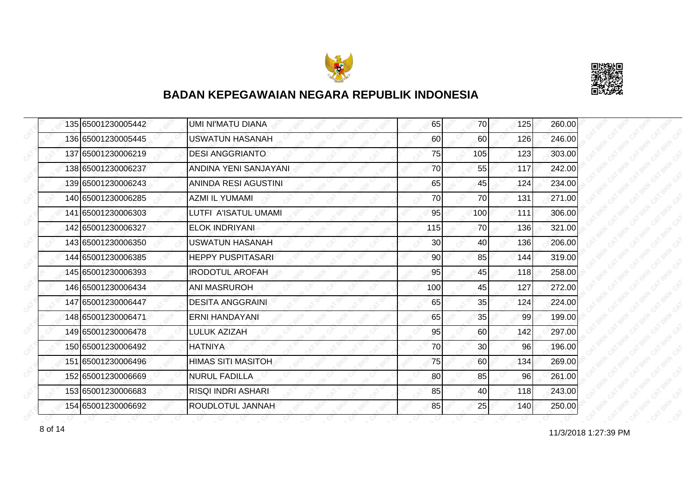



|  | 135 65001230005442 | UMI NI'MATU DIANA           | 65  | 70              | 125 | 260.00 |
|--|--------------------|-----------------------------|-----|-----------------|-----|--------|
|  | 136 65001230005445 | <b>USWATUN HASANAH</b>      | 60  | 60              | 126 | 246.00 |
|  | 137 65001230006219 | <b>DESI ANGGRIANTO</b>      | 75  | 105             | 123 | 303.00 |
|  | 138 65001230006237 | ANDINA YENI SANJAYANI       | 70  | 55              | 117 | 242.00 |
|  | 139 65001230006243 | <b>ANINDA RESI AGUSTINI</b> | 65  | 45              | 124 | 234.00 |
|  | 140 65001230006285 | AZMI IL YUMAMI              | 70  | 70              | 131 | 271.00 |
|  | 141 65001230006303 | LUTFI A'ISATUL UMAMI        | 95  | 100             | 111 | 306.00 |
|  | 142 65001230006327 | <b>ELOK INDRIYANI</b>       | 115 | 70              | 136 | 321.00 |
|  | 143 65001230006350 | <b>USWATUN HASANAH</b>      | 30  | 40              | 136 | 206.00 |
|  | 144 65001230006385 | <b>HEPPY PUSPITASARI</b>    | 90  | 85              | 144 | 319.00 |
|  | 145 65001230006393 | <b>IRODOTUL AROFAH</b>      | 95  | 45              | 118 | 258.00 |
|  | 146 65001230006434 | <b>ANI MASRUROH</b>         | 100 | 45              | 127 | 272.00 |
|  | 147 65001230006447 | <b>DESITA ANGGRAINI</b>     | 65  | 35              | 124 | 224.00 |
|  | 148 65001230006471 | <b>ERNI HANDAYANI</b>       | 65  | 35              | 99  | 199.00 |
|  | 149 65001230006478 | <b>LULUK AZIZAH</b>         | 95  | 60              | 142 | 297.00 |
|  | 150 65001230006492 | <b>HATNIYA</b>              | 70  | 30 <sub>0</sub> | 96  | 196.00 |
|  | 151 65001230006496 | <b>HIMAS SITI MASITOH</b>   | 75  | 60              | 134 | 269.00 |
|  | 152165001230006669 | <b>NURUL FADILLA</b>        | 80  | 85              | 96  | 261.00 |
|  | 153 65001230006683 | RISQI INDRI ASHARI          | 85  | 40              | 118 | 243.00 |
|  | 154 65001230006692 | ROUDLOTUL JANNAH            | 85  | 25              | 140 | 250.00 |

11/3/2018 1:27:39 PM 8 of 14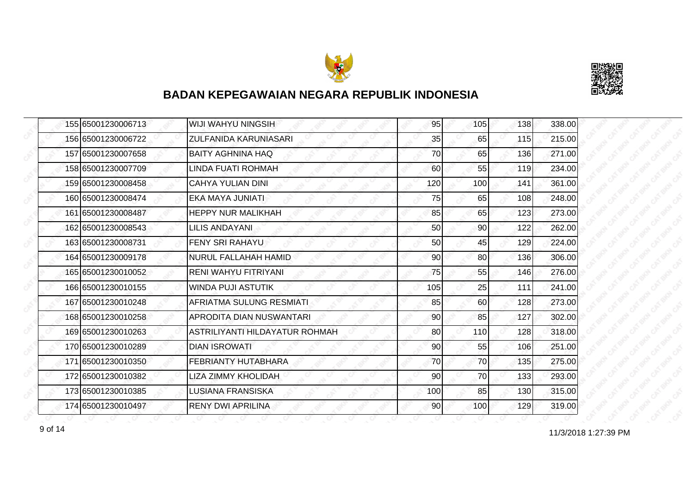



|  | 155 65001230006713 | <b>WIJI WAHYU NINGSIH</b>       | 95  | 105 | 138 | 338.00 |
|--|--------------------|---------------------------------|-----|-----|-----|--------|
|  | 156 65001230006722 | <b>ZULFANIDA KARUNIASARI</b>    | 35  | 65  | 115 | 215.00 |
|  | 157 65001230007658 | <b>BAITY AGHNINA HAQ</b>        | 70  | 65  | 136 | 271.00 |
|  | 158 65001230007709 | LINDA FUATI ROHMAH              | 60  | 55  | 119 | 234.00 |
|  | 159 65001230008458 | CAHYA YULIAN DINI               | 120 | 100 | 141 | 361.00 |
|  | 160 65001230008474 | EKA MAYA JUNIATI                | 75  | 65  | 108 | 248.00 |
|  | 161 65001230008487 | <b>HEPPY NUR MALIKHAH</b>       | 85  | 65  | 123 | 273.00 |
|  | 162165001230008543 | LILIS ANDAYANI                  | 50  | 90  | 122 | 262.00 |
|  | 163 65001230008731 | FENY SRI RAHAYU                 | 50  | 45  | 129 | 224.00 |
|  | 164 65001230009178 | <b>NURUL FALLAHAH HAMID</b>     | 90  | 80  | 136 | 306.00 |
|  | 165 65001230010052 | <b>RENI WAHYU FITRIYANI</b>     | 75  | 55  | 146 | 276.00 |
|  | 166 65001230010155 | <b>WINDA PUJI ASTUTIK</b>       | 105 | 25  | 111 | 241.00 |
|  | 167 65001230010248 | AFRIATMA SULUNG RESMIATI        | 85  | 60  | 128 | 273.00 |
|  | 168 65001230010258 | <b>APRODITA DIAN NUSWANTARI</b> | 90  | 85  | 127 | 302.00 |
|  | 169 65001230010263 | ASTRILIYANTI HILDAYATUR ROHMAH  | 80  | 110 | 128 | 318.00 |
|  | 170 65001230010289 | <b>DIAN ISROWATI</b>            | 90  | 55  | 106 | 251.00 |
|  | 171 65001230010350 | <b>FEBRIANTY HUTABHARA</b>      | 70  | 70  | 135 | 275.00 |
|  | 172165001230010382 | LIZA ZIMMY KHOLIDAH             | 90  | 70  | 133 | 293.00 |
|  | 173 65001230010385 | <b>LUSIANA FRANSISKA</b>        | 100 | 85  | 130 | 315.00 |
|  | 174 65001230010497 | <b>RENY DWI APRILINA</b>        | 90  | 100 | 129 | 319.00 |

11/3/2018 1:27:39 PM 9 of 14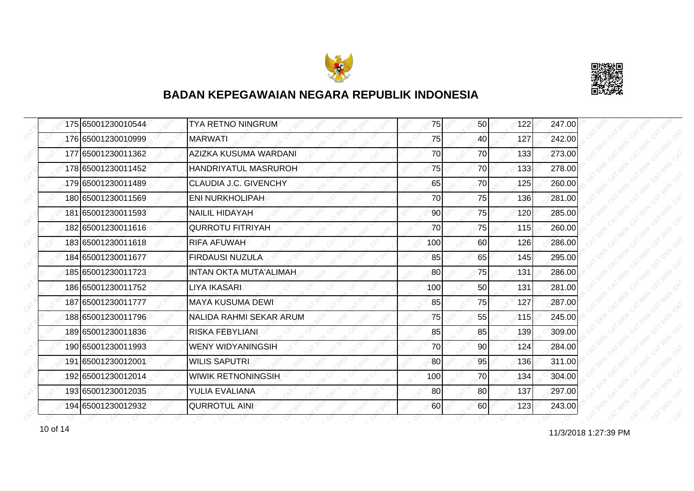



|  | 175 65001230010544 | <b>TYA RETNO NINGRUM</b>      | 75  | 50 <sub>l</sub> | 122 | 247.00 |
|--|--------------------|-------------------------------|-----|-----------------|-----|--------|
|  | 176 65001230010999 | <b>MARWATI</b>                | 75  | 40              | 127 | 242.00 |
|  | 177 65001230011362 | AZIZKA KUSUMA WARDANI         | 70  | 70              | 133 | 273.00 |
|  | 178 65001230011452 | HANDRIYATUL MASRUROH          | 75  | 70I             | 133 | 278.00 |
|  | 179 65001230011489 | CLAUDIA J.C. GIVENCHY         | 65  | 70              | 125 | 260.00 |
|  | 180 65001230011569 | <b>ENI NURKHOLIPAH</b>        | 70  | 75              | 136 | 281.00 |
|  | 181 65001230011593 | <b>NAILIL HIDAYAH</b>         | 90  | 75I             | 120 | 285.00 |
|  | 182 65001230011616 | <b>QURROTU FITRIYAH</b>       | 70  | 75              | 115 | 260.00 |
|  | 183 65001230011618 | <b>RIFA AFUWAH</b>            | 100 | 60              | 126 | 286.00 |
|  | 184 65001230011677 | <b>FIRDAUSI NUZULA</b>        | 85  | 65              | 145 | 295.00 |
|  | 185 65001230011723 | <b>INTAN OKTA MUTA'ALIMAH</b> | 80  | 75              | 131 | 286.00 |
|  | 186 65001230011752 | LIYA IKASARI                  | 100 | 50              | 131 | 281.00 |
|  | 187 65001230011777 | <b>MAYA KUSUMA DEWI</b>       | 85  | 75              | 127 | 287.00 |
|  | 188 65001230011796 | NALIDA RAHMI SEKAR ARUM       | 75  | 55              | 115 | 245.00 |
|  | 189 65001230011836 | <b>RISKA FEBYLIANI</b>        | 85  | 85              | 139 | 309.00 |
|  | 190 65001230011993 | <b>WENY WIDYANINGSIH</b>      | 70  | 90              | 124 | 284.00 |
|  | 191 65001230012001 | <b>WILIS SAPUTRI</b>          | 80  | 95              | 136 | 311.00 |
|  | 192 65001230012014 | <b>WIWIK RETNONINGSIH</b>     | 100 | 70              | 134 | 304.00 |
|  | 193 65001230012035 | <b>YULIA EVALIANA</b>         | 80  | 80              | 137 | 297.00 |
|  | 194 65001230012932 | <b>QURROTUL AINI</b>          | 60  | 60              | 123 | 243.00 |

11/3/2018 1:27:39 PM 10 of 14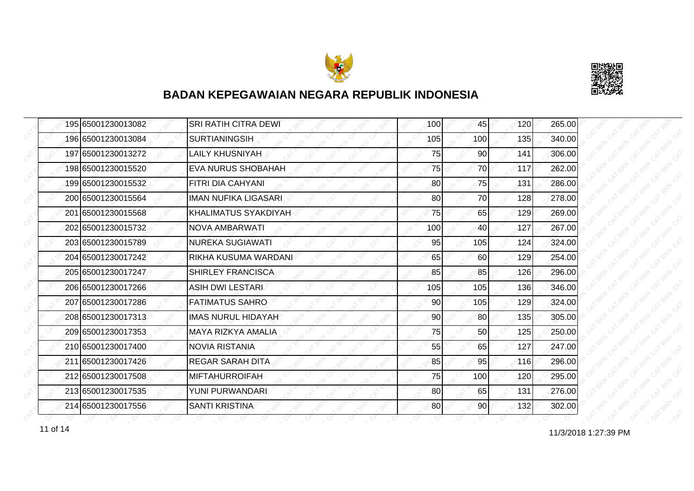



|  | 195 65001230013082 | <b>SRI RATIH CITRA DEWI</b> | 100 | 45              | 120 | 265.00 |
|--|--------------------|-----------------------------|-----|-----------------|-----|--------|
|  | 196 65001230013084 | <b>SURTIANINGSIH</b>        | 105 | 100             | 135 | 340.00 |
|  | 197 65001230013272 | <b>LAILY KHUSNIYAH</b>      | 75  | 90              | 141 | 306.00 |
|  | 198 65001230015520 | <b>EVA NURUS SHOBAHAH</b>   | 75  | 70              | 117 | 262.00 |
|  | 199 65001230015532 | <b>EITRI DIA CAHYANI</b>    | 80  | 75              | 131 | 286.00 |
|  | 200 65001230015564 | <b>IMAN NUFIKA LIGASARI</b> | 80  | 70              | 128 | 278.00 |
|  | 201 65001230015568 | <b>KHALIMATUS SYAKDIYAH</b> | 75  | 65              | 129 | 269.00 |
|  | 202 65001230015732 | NOVA AMBARWATI              | 100 | 40              | 127 | 267.00 |
|  | 203 65001230015789 | <b>NUREKA SUGIAWATI</b>     | 95  | 105             | 124 | 324.00 |
|  | 204 65001230017242 | RIKHA KUSUMA WARDANI        | 65  | 60              | 129 | 254.00 |
|  | 205 65001230017247 | <b>SHIRLEY FRANCISCA</b>    | 85  | 85              | 126 | 296.00 |
|  | 206 65001230017266 | <b>ASIH DWI LESTARI</b>     | 105 | 105             | 136 | 346.00 |
|  | 207165001230017286 | <b>FATIMATUS SAHRO</b>      | 90  | 105             | 129 | 324.00 |
|  | 208 65001230017313 | <b>IMAS NURUL HIDAYAH</b>   | 90  | 80 <sup>2</sup> | 135 | 305.00 |
|  | 209 65001230017353 | <b>MAYA RIZKYA AMALIA</b>   | 75  | 50              | 125 | 250.00 |
|  | 210 65001230017400 | <b>NOVIA RISTANIA</b>       | 55  | 65              | 127 | 247.00 |
|  | 211 65001230017426 | REGAR SARAH DITA            | 85  | 95              | 116 | 296.00 |
|  | 212 65001230017508 | <b>MIFTAHURROIFAH</b>       | 75  | 100             | 120 | 295.00 |
|  | 213 65001230017535 | YUNI PURWANDARI             | 80  | 65              | 131 | 276.00 |
|  | 214 65001230017556 | <b>SANTI KRISTINA</b>       | 80  | 90 <sub>l</sub> | 132 | 302.00 |

11 of 14 27:39 PM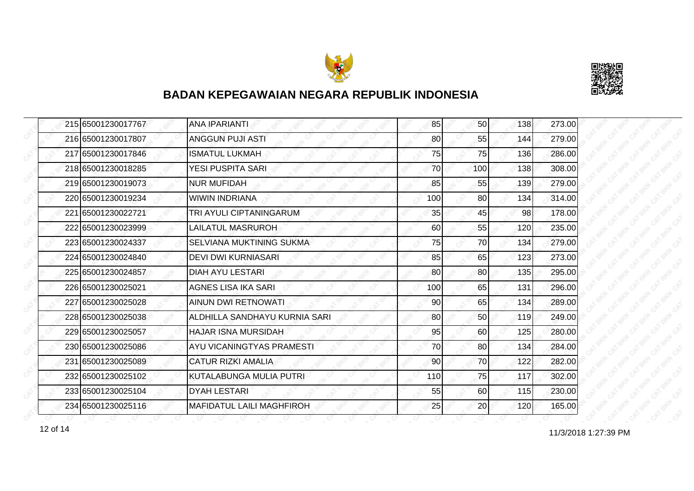



|  | 215 65001230017767 | <b>ANA IPARIANTI</b>             | 85  | 50 <sub>l</sub> | 138 | 273.00 |
|--|--------------------|----------------------------------|-----|-----------------|-----|--------|
|  | 216 65001230017807 | <b>ANGGUN PUJI ASTI</b>          | 80  | 55              | 144 | 279.00 |
|  | 217165001230017846 | <b>ISMATUL LUKMAH</b>            | 75  | 75              | 136 | 286.00 |
|  | 218 65001230018285 | YESI PUSPITA SARI                | 70  | 100             | 138 | 308.00 |
|  | 219 65001230019073 | <b>NUR MUFIDAH</b>               | 85  | 55              | 139 | 279.00 |
|  | 220165001230019234 | <b>WIWIN INDRIANA</b>            | 100 | 80              | 134 | 314.00 |
|  | 221 65001230022721 | TRI AYULI CIPTANINGARUM          | 35  | 45              | 98  | 178.00 |
|  | 222165001230023999 | LAILATUL MASRUROH                | 60  | 55              | 120 | 235.00 |
|  | 223 65001230024337 | SELVIANA MUKTINING SUKMA         | 75  | 70              | 134 | 279.00 |
|  | 224 65001230024840 | <b>DEVI DWI KURNIASARI</b>       | 85  | 65              | 123 | 273.00 |
|  | 225 65001230024857 | DIAH AYU LESTARI                 | 80  | 80              | 135 | 295.00 |
|  | 226 65001230025021 | AGNES LISA IKA SARI              | 100 | 65              | 131 | 296.00 |
|  | 227 65001230025028 | <b>AINUN DWI RETNOWATI</b>       | 90  | 65              | 134 | 289.00 |
|  | 228 65001230025038 | ALDHILLA SANDHAYU KURNIA SARI    | 80  | 50              | 119 | 249.00 |
|  | 229165001230025057 | HAJAR ISNA MURSIDAH              | 95  | 60              | 125 | 280.00 |
|  | 230 65001230025086 | AYU VICANINGTYAS PRAMESTI        | 70  | 80              | 134 | 284.00 |
|  | 231 65001230025089 | <b>CATUR RIZKI AMALIA</b>        | 90  | 70              | 122 | 282.00 |
|  | 232 65001230025102 | KUTALABUNGA MULIA PUTRI          | 110 | 75              | 117 | 302.00 |
|  | 233 65001230025104 | <b>DYAH LESTARI</b>              | 55  | 60              | 115 | 230.00 |
|  | 234 65001230025116 | <b>MAFIDATUL LAILI MAGHFIROH</b> | 25  | 20              | 120 | 165.00 |

12 of 14 11/3/2018 1:27:39 PM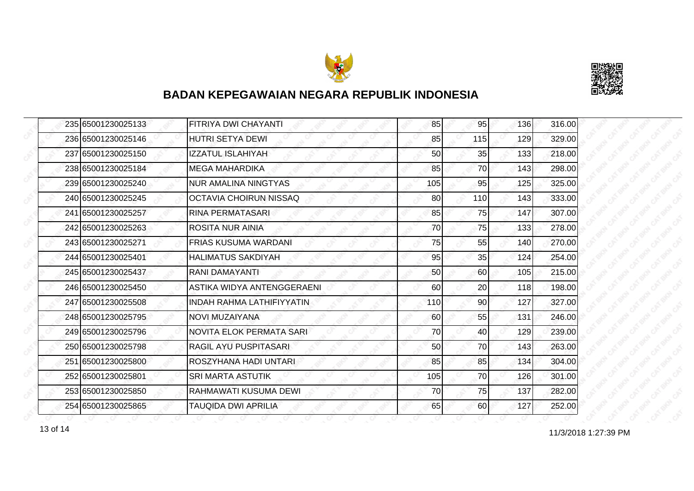



| 235 65001230025133 | FITRIYA DWI CHAYANTI             | 85  | 95  | 136 | 316.00 |
|--------------------|----------------------------------|-----|-----|-----|--------|
| 236 65001230025146 | <b>HUTRI SETYA DEWI</b>          | 85  | 115 | 129 | 329.00 |
| 237 65001230025150 | IZZATUL ISLAHIYAH                | 50  | 35  | 133 | 218.00 |
| 238 65001230025184 | <b>MEGA MAHARDIKA</b>            | 85  | 70  | 143 | 298.00 |
| 239 65001230025240 | <b>NUR AMALINA NINGTYAS</b>      | 105 | 95  | 125 | 325.00 |
| 240 65001230025245 | OCTAVIA CHOIRUN NISSAQ           | 80  | 110 | 143 | 333.00 |
| 241 65001230025257 | RINA PERMATASARI                 | 85  | 75  | 147 | 307.00 |
| 242 65001230025263 | <b>ROSITA NUR AINIA</b>          | 70  | 75  | 133 | 278.00 |
| 243 65001230025271 | <b>FRIAS KUSUMA WARDANI</b>      | 75  | 55  | 140 | 270.00 |
| 244 65001230025401 | <b>HALIMATUS SAKDIYAH</b>        | 95  | 35  | 124 | 254.00 |
| 245 65001230025437 | RANI DAMAYANTI                   | 50  | 60  | 105 | 215.00 |
| 246 65001230025450 | ASTIKA WIDYA ANTENGGERAENI       | 60  | 20  | 118 | 198.00 |
| 247 65001230025508 | <b>INDAH RAHMA LATHIFIYYATIN</b> | 110 | 90  | 127 | 327.00 |
| 248 65001230025795 | NOVI MUZAIYANA                   | 60  | 55  | 131 | 246.00 |
| 249 65001230025796 | <b>NOVITA ELOK PERMATA SARI</b>  | 70  | 40  | 129 | 239.00 |
| 250 65001230025798 | RAGIL AYU PUSPITASARI            | 50  | 70  | 143 | 263.00 |
| 251 65001230025800 | ROSZYHANA HADI UNTARI            | 85  | 85  | 134 | 304.00 |
| 252 65001230025801 | <b>SRI MARTA ASTUTIK</b>         | 105 | 70  | 126 | 301.00 |
| 253 65001230025850 | RAHMAWATI KUSUMA DEWI            | 70  | 75  | 137 | 282.00 |
| 254 65001230025865 | TAUQIDA DWI APRILIA              | 65  | 60  | 127 | 252.00 |

13 of 14 **11/3/2018 1:27:39 PM**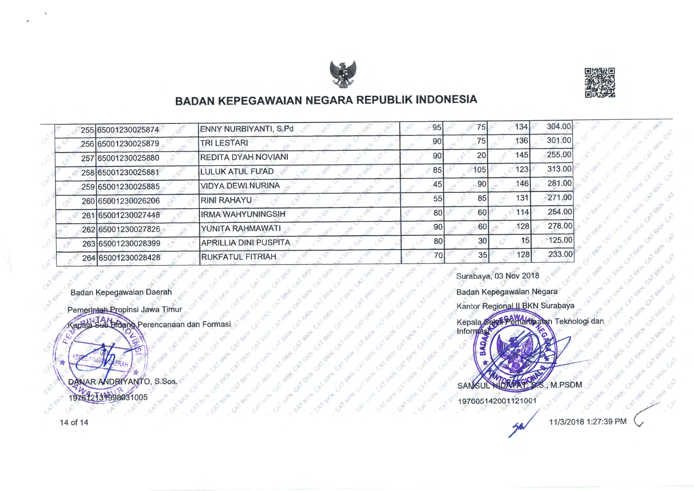

*qj'* 



' .::," '

.... <sup>L</sup>""  $S^*-\tilde{\omega}$  $\mathbb{R}^n$ ;;;, .

 $\sim$   $\alpha$   $\alpha$  $\mathcal{A}_{\mu}$ <sup>j</sup>**.,t.'t;** " ... '-) ' \ *<sup>v</sup>*\_,.,.

 $\epsilon$  .

· 30 km

# **BADAN KEPEGAWAIAN NEGARA REPUBLIK INDONESIA**

| 255 65001230025874 | ENNY NURBIYANTI, S.Pd        | 95 | 75              | 134              | 304.00 |
|--------------------|------------------------------|----|-----------------|------------------|--------|
| 256 65001230025879 | <b>TRILESTARI</b>            | 90 | 75              | 136              | 301.00 |
| 257 65001230025880 | <b>REDITA DYAH NOVIANI</b>   | 90 | 20              | 145 <sub>i</sub> | 255.00 |
| 258 65001230025881 | LULUK ATUL FU'AD             | 85 | 105             | 123              | 313.00 |
| 259 65001230025885 | <b>VIDYA DEWI NURINA</b>     | 45 | 90              | 146              | 281.00 |
| 260 65001230026206 | <b>RINI RAHAYU</b>           | 55 | 85              | 13 <sup>1</sup>  | 271.00 |
| 261 65001230027448 | <b>IRMA WAHYUNINGSIH</b>     |    | 60<br><b>80</b> | 114              | 254.00 |
| 262 65001230027826 | YUNITA RAHMAWATI             | 90 | 60              | 128              | 278.00 |
| 263 65001230028399 | <b>APRILLIA DINI PUSPITA</b> | 80 | 30              | 15               | 125.00 |
| 264 65001230028428 | <b>RUKFATUL FITRIAH</b>      |    | 70<br>35        | 128              | 233.00 |

5

<.

Badan Kepegawaian Daerah

Pemerintah Propinsi Jawa Timur **Goala** Sub Bidang Perencanaan dan Formasi

DANAR ANDRIYANTO, S.Sos. 197612131998031005

Kantor Regional II BKN Surabaya<br>Kepala Sakat Peliharina an Teknologi dan<br>Informasi M.PSDM **SAM<sub>S</sub>** 197605142001121001

Surabaya, 03 Nov 2018

Badan Kepegawaian Negara

A state of state of the state of the state of

14of 14

"'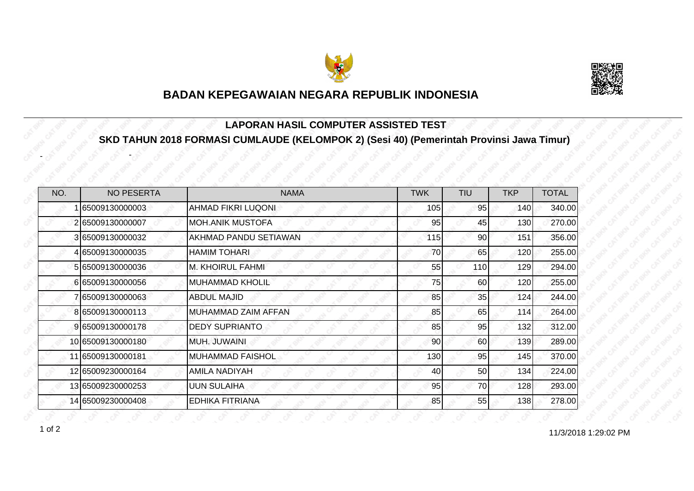



#### **LAPORAN HASIL COMPUTER ASSISTED TEST SKD TAHUN 2018 FORMASI CUMLAUDE (KELOMPOK 2) (Sesi 40) (Pemerintah Provinsi Jawa Timur)**

| NO. | <b>NO PESERTA</b> | <b>NAMA</b>                | <b>TWK</b> | <b>TIU</b>      | <b>TKP</b> | <b>TOTAL</b> |
|-----|-------------------|----------------------------|------------|-----------------|------------|--------------|
|     | 65009130000003    | AHMAD FIKRI LUQONI         | 105        | 95              | 140        | 340.00       |
|     | 265009130000007   | <b>MOH.ANIK MUSTOFA</b>    | 95         | 45              | 130        | 270.00       |
|     | 3 65009130000032  | AKHMAD PANDU SETIAWAN      | 115        | 90 <sup>°</sup> | 151        | 356.00       |
|     | 4 65009130000035  | <b>HAMIM TOHARI</b>        | 70         | 65              | 120        | 255.00       |
|     | 5 65009130000036  | <b>M. KHOIRUL FAHMI</b>    | 55         | 110             | 129        | 294.00       |
|     | 665009130000056   | <b>MUHAMMAD KHOLIL</b>     | 75         | 60              | 120        | 255.00       |
|     | 765009130000063   | <b>ABDUL MAJID</b>         | 85         | 35              | 124        | 244.00       |
|     | 8 65009130000113  | <b>MUHAMMAD ZAIM AFFAN</b> | 85         | 65              | 114        | 264.00       |
|     | 9 65009130000178  | <b>DEDY SUPRIANTO</b>      | 85         | 95              | 132        | 312.00       |
|     | 10 65009130000180 | MUH. JUWAINI               | 90         | 60              | 139        | 289.00       |
|     | 11 65009130000181 | <b>MUHAMMAD FAISHOL</b>    | 130        | 95              | 145        | 370.00       |
|     | 12 65009230000164 | <b>AMILA NADIYAH</b>       | 40         | 50              | 134        | 224.00       |
|     | 13 65009230000253 | <b>UUN SULAIHA</b>         | 95         | 70              | 128        | 293.00       |
|     | 14 65009230000408 | <b>EDHIKA FITRIANA</b>     | 85         | 55              | 138        | 278.00       |

-

-